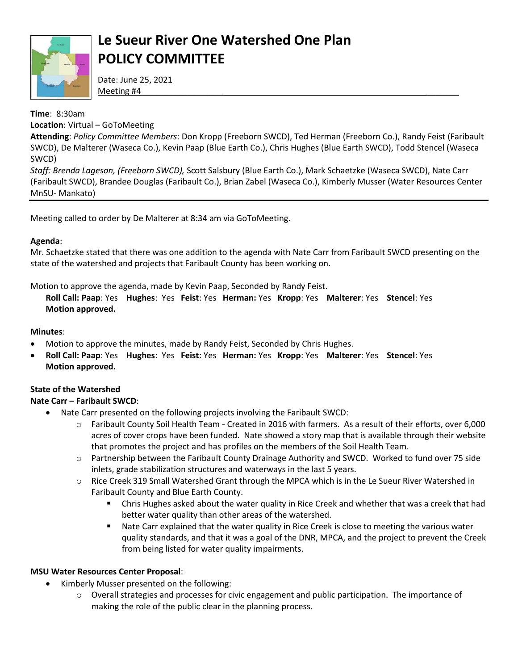

# **Le Sueur River One Watershed One Plan POLICY COMMITTEE**

Date: June 25, 2021 Meeting #4\_\_\_\_\_\_\_\_\_\_\_\_\_\_\_\_\_\_ \_\_\_\_\_\_\_

### **Time**: 8:30am

**Location**: Virtual – GoToMeeting

**Attending**: *Policy Committee Members*: Don Kropp (Freeborn SWCD), Ted Herman (Freeborn Co.), Randy Feist (Faribault SWCD), De Malterer (Waseca Co.), Kevin Paap (Blue Earth Co.), Chris Hughes (Blue Earth SWCD), Todd Stencel (Waseca SWCD)

*Staff: Brenda Lageson, (Freeborn SWCD),* Scott Salsbury (Blue Earth Co.), Mark Schaetzke (Waseca SWCD), Nate Carr (Faribault SWCD), Brandee Douglas (Faribault Co.), Brian Zabel (Waseca Co.), Kimberly Musser (Water Resources Center MnSU- Mankato)

Meeting called to order by De Malterer at 8:34 am via GoToMeeting.

### **Agenda**:

Mr. Schaetzke stated that there was one addition to the agenda with Nate Carr from Faribault SWCD presenting on the state of the watershed and projects that Faribault County has been working on.

Motion to approve the agenda, made by Kevin Paap, Seconded by Randy Feist.

**Roll Call: Paap**: Yes **Hughes**: Yes **Feist**: Yes **Herman:** Yes **Kropp**: Yes **Malterer**: Yes **Stencel**: Yes **Motion approved.** 

#### **Minutes**:

- Motion to approve the minutes, made by Randy Feist, Seconded by Chris Hughes.
- **Roll Call: Paap**: Yes **Hughes**: Yes **Feist**: Yes **Herman:** Yes **Kropp**: Yes **Malterer**: Yes **Stencel**: Yes **Motion approved.**

## **State of the Watershed**

## **Nate Carr – Faribault SWCD**:

- Nate Carr presented on the following projects involving the Faribault SWCD:
	- o Faribault County Soil Health Team Created in 2016 with farmers. As a result of their efforts, over 6,000 acres of cover crops have been funded. Nate showed a story map that is available through their website that promotes the project and has profiles on the members of the Soil Health Team.
	- o Partnership between the Faribault County Drainage Authority and SWCD. Worked to fund over 75 side inlets, grade stabilization structures and waterways in the last 5 years.
	- o Rice Creek 319 Small Watershed Grant through the MPCA which is in the Le Sueur River Watershed in Faribault County and Blue Earth County.
		- Chris Hughes asked about the water quality in Rice Creek and whether that was a creek that had better water quality than other areas of the watershed.
		- **Nate Carr explained that the water quality in Rice Creek is close to meeting the various water** quality standards, and that it was a goal of the DNR, MPCA, and the project to prevent the Creek from being listed for water quality impairments.

#### **MSU Water Resources Center Proposal**:

- Kimberly Musser presented on the following:
	- o Overall strategies and processes for civic engagement and public participation. The importance of making the role of the public clear in the planning process.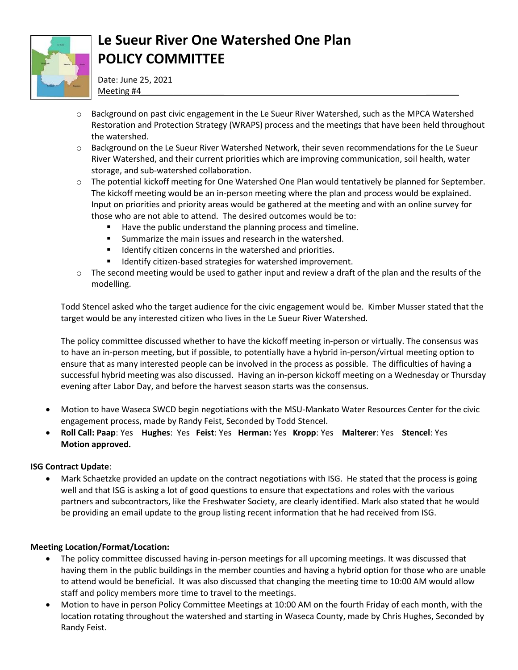

# **Le Sueur River One Watershed One Plan POLICY COMMITTEE**

Date: June 25, 2021 Meeting #4\_\_\_\_\_\_\_\_\_\_\_\_\_\_\_\_\_\_ \_\_\_\_\_\_\_

- $\circ$  Background on past civic engagement in the Le Sueur River Watershed, such as the MPCA Watershed Restoration and Protection Strategy (WRAPS) process and the meetings that have been held throughout the watershed.
- o Background on the Le Sueur River Watershed Network, their seven recommendations for the Le Sueur River Watershed, and their current priorities which are improving communication, soil health, water storage, and sub-watershed collaboration.
- o The potential kickoff meeting for One Watershed One Plan would tentatively be planned for September. The kickoff meeting would be an in-person meeting where the plan and process would be explained. Input on priorities and priority areas would be gathered at the meeting and with an online survey for those who are not able to attend. The desired outcomes would be to:
	- Have the public understand the planning process and timeline.
	- **Summarize the main issues and research in the watershed.**
	- **IDENTIFY CONCOCCLERG** In the watershed and priorities.
	- **IDENTIFY CITED-BASED STATES FOR WATERSHED IMPROVEMENT.**
- $\circ$  The second meeting would be used to gather input and review a draft of the plan and the results of the modelling.

Todd Stencel asked who the target audience for the civic engagement would be. Kimber Musser stated that the target would be any interested citizen who lives in the Le Sueur River Watershed.

The policy committee discussed whether to have the kickoff meeting in-person or virtually. The consensus was to have an in-person meeting, but if possible, to potentially have a hybrid in-person/virtual meeting option to ensure that as many interested people can be involved in the process as possible. The difficulties of having a successful hybrid meeting was also discussed. Having an in-person kickoff meeting on a Wednesday or Thursday evening after Labor Day, and before the harvest season starts was the consensus.

- Motion to have Waseca SWCD begin negotiations with the MSU-Mankato Water Resources Center for the civic engagement process, made by Randy Feist, Seconded by Todd Stencel.
- **Roll Call: Paap**: Yes **Hughes**: Yes **Feist**: Yes **Herman:** Yes **Kropp**: Yes **Malterer**: Yes **Stencel**: Yes **Motion approved.**

#### **ISG Contract Update**:

 Mark Schaetzke provided an update on the contract negotiations with ISG. He stated that the process is going well and that ISG is asking a lot of good questions to ensure that expectations and roles with the various partners and subcontractors, like the Freshwater Society, are clearly identified. Mark also stated that he would be providing an email update to the group listing recent information that he had received from ISG.

#### **Meeting Location/Format/Location:**

- The policy committee discussed having in-person meetings for all upcoming meetings. It was discussed that having them in the public buildings in the member counties and having a hybrid option for those who are unable to attend would be beneficial. It was also discussed that changing the meeting time to 10:00 AM would allow staff and policy members more time to travel to the meetings.
- Motion to have in person Policy Committee Meetings at 10:00 AM on the fourth Friday of each month, with the location rotating throughout the watershed and starting in Waseca County, made by Chris Hughes, Seconded by Randy Feist.